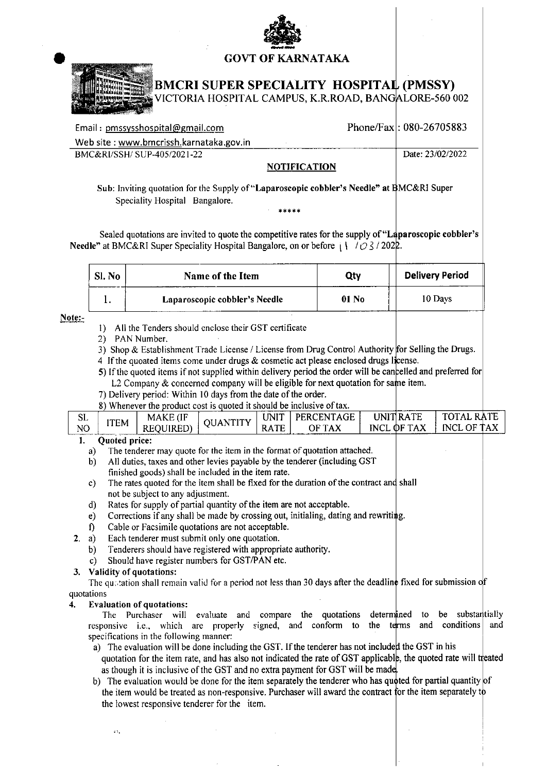

## **GOVT OF KARNATAKA**



# **BMCRI SUPER SPECIALITY HOSPITAL (PMSSY)**

VICTORIA HOSPITAL CAMPUS, K.R.ROAD, BANGALORE-560 002

| Email: pmssysshospital@gmail.com        |               | Phone/Fax: $080-26705883$ |
|-----------------------------------------|---------------|---------------------------|
| Web site: www.bmcrissh.karnataka.gov.in |               |                           |
| BMC&RI/SSH/SUP-405/2021-22              |               | Date: 23/02/2022          |
|                                         | MATIFIA (TIAN |                           |

### NOTHICATION

Sub: Inviting quotation for the Supply of "Laparoscopic cobbler's Needle" at BMC&RI Super Speciality Hospital Bangalore.

Sealed quotations are invited to quote the competitive rates for the supply of "Laparoscopic cobbler's **Needle**" at BMC&RI Super Speciality Hospital Bangalore, on or before  $(1)/2$  /2022.

| Sl. No | Name of the Item              | Qty   | <b>Delivery Period</b> |
|--------|-------------------------------|-------|------------------------|
|        | Laparoscopic cobbler's Needle | 01 No | 10 Days                |

#### Note:-

- 1) All the Tenders should enclose their GST certificate
- 2) PAN Number.
- 3) Shop & Establishment Trade License / License from Drug Control Authority for Selling the Drugs.
- 4 If the quoated items come under drugs & cosmetic act please enclosed drugs license.
- 5) If the quoted items if not supplied within delivery period the order will be cancelled and preferred for L2 Company & concerned company will be eligible for next quotation for same item.
- 7) Delivery period: Within 10 days from the date of the order.
- 8) Whenever the product cost is quoted it should be inclusive of tax.

| <b>SL</b> |             | MAKE (IF         | OUANTITY | UNIT        | PERCENTAGE | <b>UNITIRATE</b> | <b>RATE</b><br><b>TOTAL</b> |
|-----------|-------------|------------------|----------|-------------|------------|------------------|-----------------------------|
| NO        | <b>ITEM</b> | <b>REQUIRED)</b> |          | <b>RATE</b> | OF TAX     | INCL OF TAX      | INCL OF TAX                 |
| n.        |             |                  |          |             |            |                  |                             |

### Quoted price:

- The tenderer may quote for the item in the format of quotation attached.  $a)$
- $b)$ All duties, taxes and other levies payable by the tenderer (including GST finished goods) shall be included in the item rate.
- The rates quoted for the item shall be fixed for the duration of the contract and shall  $c)$ not be subject to any adjustment.
- Rates for supply of partial quantity of the item are not acceptable.  $\mathbf{d}$
- Corrections if any shall be made by crossing out, initialing, dating and rewriting.  $e)$
- $\mathbf{f}$ Cable or Facsimile quotations are not acceptable.
- $2. a)$ Each tenderer must submit only one quotation.
	- $b)$ Tenderers should have registered with appropriate authority.
	- Should have register numbers for GST/PAN etc.  $\mathbf{c})$

### 3. Validity of quotations:

The quartation shall remain valid for a period not less than 30 days after the deadline fixed for submission of quotations

#### **Evaluation of quotations:**  $\blacktriangle$

The Purchaser will evaluate and compare the quotations determined be substantially  $10<sub>1</sub>$ responsive i.e., which are properly signed, and conform to the terms and conditions and specifications in the following manner:

- a) The evaluation will be done including the GST. If the tenderer has not included the GST in his quotation for the item rate, and has also not indicated the rate of GST applicable, the quoted rate will treated as though it is inclusive of the GST and no extra payment for GST will be made.
- b) The evaluation would be done for the item separately the tenderer who has quoted for partial quantity of the item would be treated as non-responsive. Purchaser will award the contract for the item separately to the lowest responsive tenderer for the item.

ø,